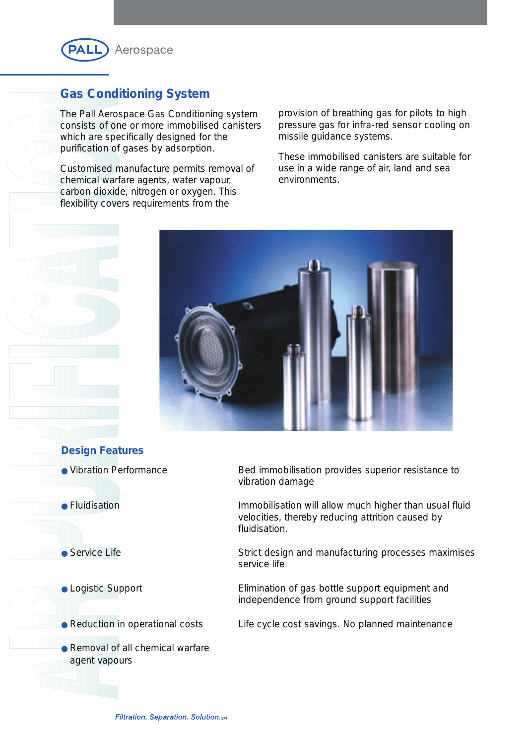

## **Gas Conditioning System**

The Pall Aerospace Gas Conditioning system consists of one or more immobilised canisters which are specifically designed for the purification of gases by adsorption.

Customised manufacture permits removal of chemical warfare agents, water vapour, carbon dioxide, nitrogen or oxygen. This flexibility covers requirements from the

provision of breathing gas for pilots to high pressure gas for infra-red sensor cooling on missile guidance systems.

These immobilised canisters are suitable for use in a wide range of air, land and sea environments.



## **Design Features**

- 
- 

- 
- 
- Removal of all chemical warfare agent vapours

● Vibration Performance Bed immobilisation provides superior resistance to vibration damage

● Fluidisation Immobilisation will allow much higher than usual fluid velocities, thereby reducing attrition caused by fluidisation.

• Service Life Superstand Strict design and manufacturing processes maximises service life

● Logistic Support <br>
Elimination of gas bottle support equipment and independence from ground support facilities

● Reduction in operational costs Life cycle cost savings. No planned maintenance